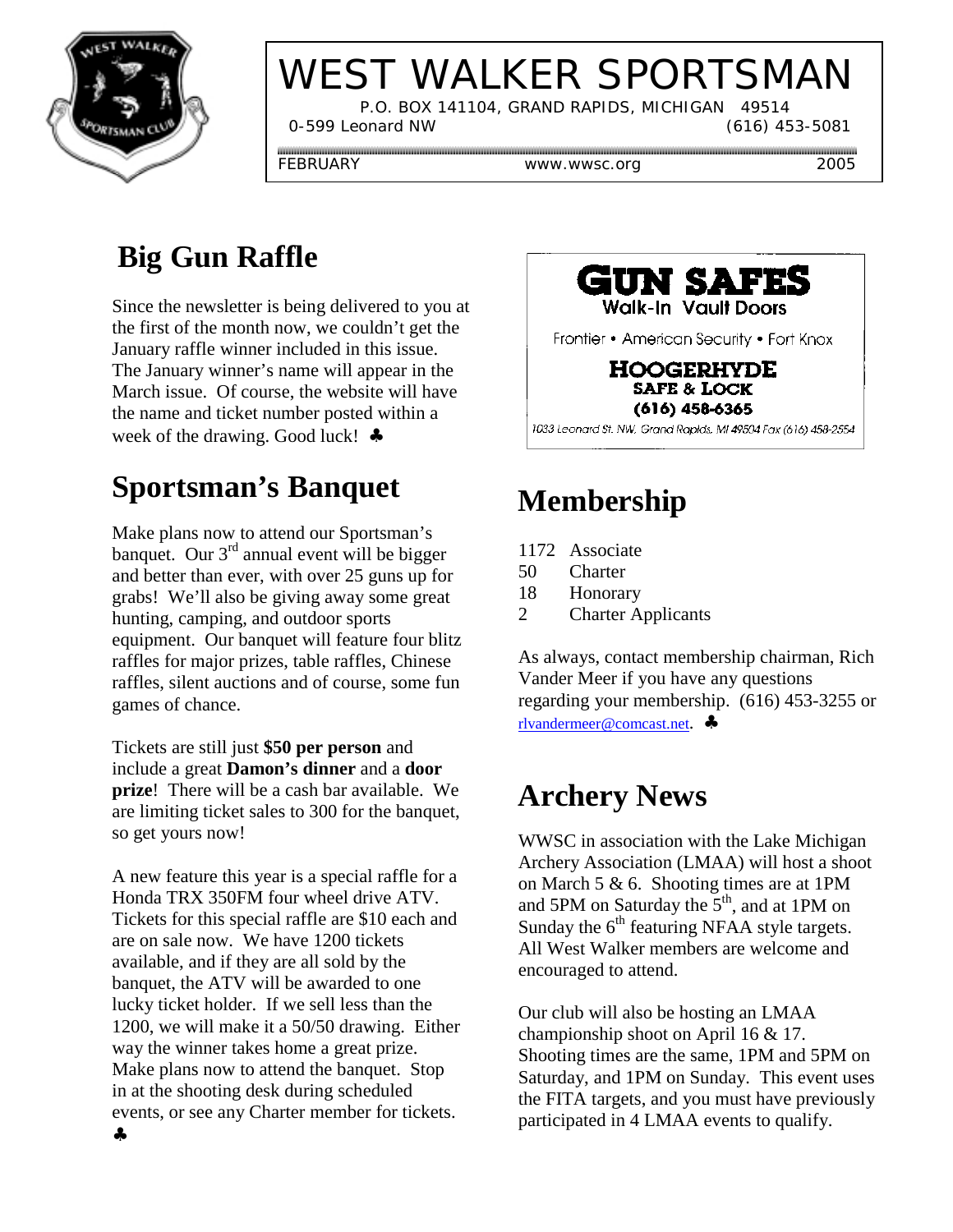

# WEST WALKER SPORTSMAN

 P.O. BOX 141104, GRAND RAPIDS, MICHIGAN 49514 0-599 Leonard NW (616) 453-5081

FEBRUARY www.wwsc.org 2005

# **Big Gun Raffle**

Since the newsletter is being delivered to you at the first of the month now, we couldn't get the January raffle winner included in this issue. The January winner's name will appear in the March issue. Of course, the website will have the name and ticket number posted within a week of the drawing. Good luck! ♣

## **Sportsman's Banquet**

Make plans now to attend our Sportsman's banquet. Our  $3^{rd}$  annual event will be bigger and better than ever, with over 25 guns up for grabs! We'll also be giving away some great hunting, camping, and outdoor sports equipment. Our banquet will feature four blitz raffles for major prizes, table raffles, Chinese raffles, silent auctions and of course, some fun games of chance.

Tickets are still just **\$50 per person** and include a great **Damon's dinner** and a **door prize**! There will be a cash bar available. We are limiting ticket sales to 300 for the banquet, so get yours now!

A new feature this year is a special raffle for a Honda TRX 350FM four wheel drive ATV. Tickets for this special raffle are \$10 each and are on sale now. We have 1200 tickets available, and if they are all sold by the banquet, the ATV will be awarded to one lucky ticket holder. If we sell less than the 1200, we will make it a 50/50 drawing. Either way the winner takes home a great prize. Make plans now to attend the banquet. Stop in at the shooting desk during scheduled events, or see any Charter member for tickets.



Frontier • American Security • Fort Knox

**HOOGERHYDE SAFE & LOCK**  $(616)$  458-6365

1033 Leonard St. NW, Grand Rapids, MI 49504 Fax (616) 458-2554

# **Membership**

- 1172 Associate
- 50 Charter
- 18 Honorary
- 2 Charter Applicants

As always, contact membership chairman, Rich Vander Meer if you have any questions regarding your membership. (616) 453-3255 or rlvandermeer@comcast.net. ♣

### **Archery News**

WWSC in association with the Lake Michigan Archery Association (LMAA) will host a shoot on March 5 & 6. Shooting times are at 1PM and 5PM on Saturday the  $5<sup>th</sup>$ , and at 1PM on Sunday the  $6<sup>th</sup>$  featuring NFAA style targets. All West Walker members are welcome and encouraged to attend.

Our club will also be hosting an LMAA championship shoot on April 16 & 17. Shooting times are the same, 1PM and 5PM on Saturday, and 1PM on Sunday. This event uses the FITA targets, and you must have previously participated in 4 LMAA events to qualify.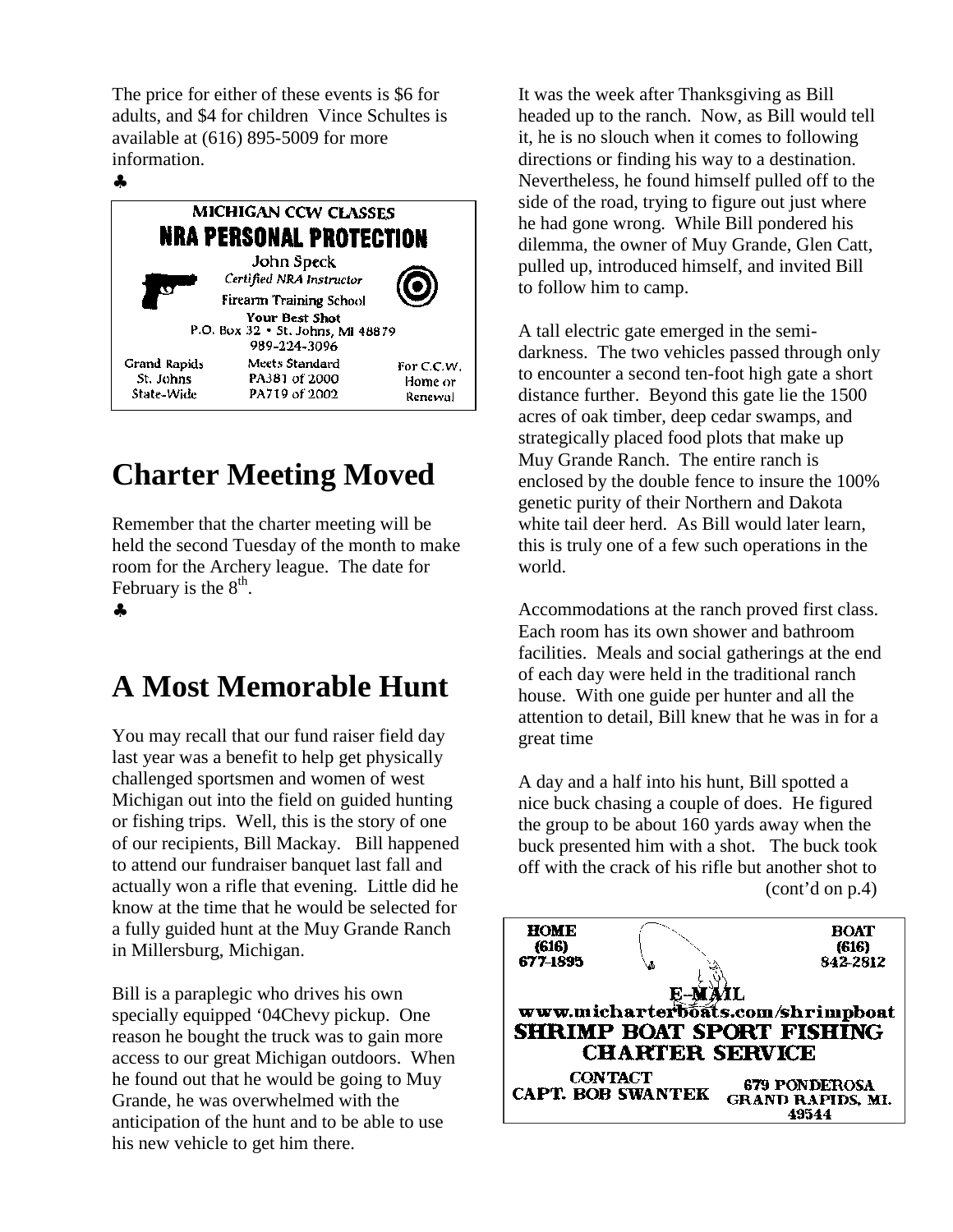The price for either of these events is \$6 for adults, and \$4 for children Vince Schultes is available at (616) 895-5009 for more information.

#### ♣



#### **Charter Meeting Moved**

Remember that the charter meeting will be held the second Tuesday of the month to make room for the Archery league. The date for February is the  $8<sup>th</sup>$ .

♣

#### **A Most Memorable Hunt**

You may recall that our fund raiser field day last year was a benefit to help get physically challenged sportsmen and women of west Michigan out into the field on guided hunting or fishing trips. Well, this is the story of one of our recipients, Bill Mackay. Bill happened to attend our fundraiser banquet last fall and actually won a rifle that evening. Little did he know at the time that he would be selected for a fully guided hunt at the Muy Grande Ranch in Millersburg, Michigan.

Bill is a paraplegic who drives his own specially equipped '04Chevy pickup. One reason he bought the truck was to gain more access to our great Michigan outdoors. When he found out that he would be going to Muy Grande, he was overwhelmed with the anticipation of the hunt and to be able to use his new vehicle to get him there.

It was the week after Thanksgiving as Bill headed up to the ranch. Now, as Bill would tell it, he is no slouch when it comes to following directions or finding his way to a destination. Nevertheless, he found himself pulled off to the side of the road, trying to figure out just where he had gone wrong. While Bill pondered his dilemma, the owner of Muy Grande, Glen Catt, pulled up, introduced himself, and invited Bill to follow him to camp.

A tall electric gate emerged in the semidarkness. The two vehicles passed through only to encounter a second ten-foot high gate a short distance further. Beyond this gate lie the 1500 acres of oak timber, deep cedar swamps, and strategically placed food plots that make up Muy Grande Ranch. The entire ranch is enclosed by the double fence to insure the 100% genetic purity of their Northern and Dakota white tail deer herd. As Bill would later learn, this is truly one of a few such operations in the world.

Accommodations at the ranch proved first class. Each room has its own shower and bathroom facilities. Meals and social gatherings at the end of each day were held in the traditional ranch house. With one guide per hunter and all the attention to detail, Bill knew that he was in for a great time

A day and a half into his hunt, Bill spotted a nice buck chasing a couple of does. He figured the group to be about 160 yards away when the buck presented him with a shot. The buck took off with the crack of his rifle but another shot to (cont'd on p.4)

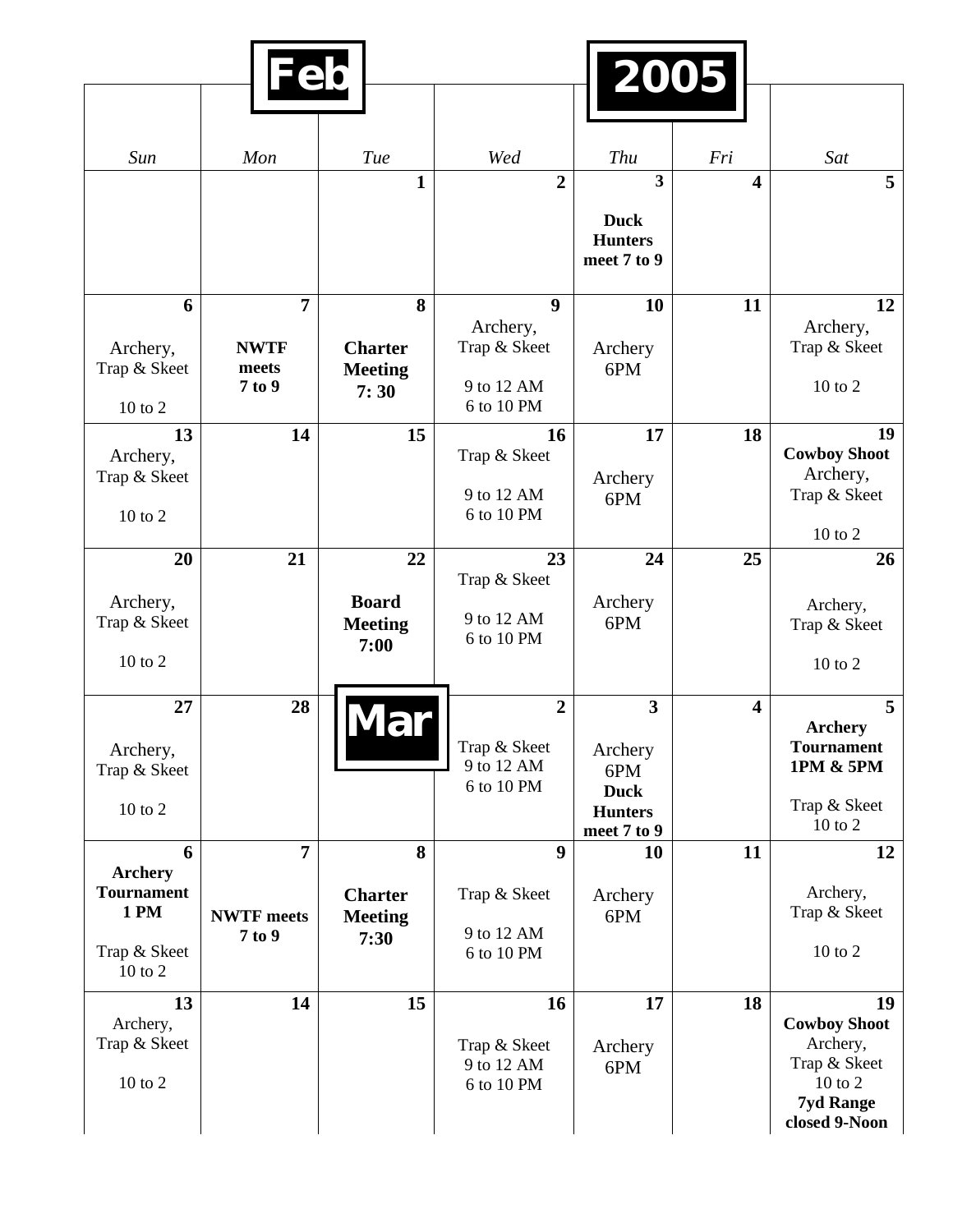|                                     | Feb               |                |                          | 2005                                         |                         |                                     |
|-------------------------------------|-------------------|----------------|--------------------------|----------------------------------------------|-------------------------|-------------------------------------|
|                                     |                   |                |                          |                                              |                         |                                     |
| Sun                                 | Mon               | Tue            | Wed                      | Thu                                          | Fri                     | Sat                                 |
|                                     |                   | $\mathbf{1}$   | $\overline{2}$           | $\overline{\mathbf{3}}$                      | 4                       | 5                                   |
|                                     |                   |                |                          | <b>Duck</b><br><b>Hunters</b><br>meet 7 to 9 |                         |                                     |
| 6                                   | $\overline{7}$    | 8              | $\boldsymbol{9}$         | 10                                           | 11                      | 12                                  |
| Archery,                            | <b>NWTF</b>       | <b>Charter</b> | Archery,<br>Trap & Skeet | Archery                                      |                         | Archery,<br>Trap & Skeet            |
| Trap & Skeet                        | meets             | <b>Meeting</b> |                          | 6PM                                          |                         |                                     |
| $10$ to $2$                         | 7 to 9            | 7:30           | 9 to 12 AM<br>6 to 10 PM |                                              |                         | $10$ to $2$                         |
| 13                                  | 14                | 15             | 16                       | 17                                           | 18                      | 19<br><b>Cowboy Shoot</b>           |
| Archery,<br>Trap & Skeet            |                   |                | Trap & Skeet             | Archery                                      |                         | Archery,                            |
|                                     |                   |                | 9 to 12 AM               | 6PM                                          |                         | Trap & Skeet                        |
| 10 to 2                             |                   |                | 6 to 10 PM               |                                              |                         | 10 to 2                             |
| 20                                  | 21                | 22             | 23                       | 24                                           | 25                      | 26                                  |
| Archery,                            |                   | <b>Board</b>   | Trap & Skeet             | Archery                                      |                         |                                     |
| Trap & Skeet                        |                   | <b>Meeting</b> | 9 to 12 AM               | 6PM                                          |                         | Archery,<br>Trap & Skeet            |
| $10$ to $2$                         |                   | 7:00           | 6 to 10 PM               |                                              |                         |                                     |
|                                     |                   |                |                          |                                              |                         | $10$ to $2$                         |
| 27                                  | 28                |                | $\overline{2}$           | $\overline{\mathbf{3}}$                      | $\overline{\mathbf{4}}$ | 5                                   |
| Archery,                            |                   |                | Trap & Skeet             | Archery                                      |                         | <b>Archery</b><br><b>Tournament</b> |
| Trap & Skeet                        |                   |                | 9 to 12 AM               | 6PM                                          |                         | 1PM & 5PM                           |
| $10$ to $2$                         |                   |                | 6 to 10 PM               | <b>Duck</b>                                  |                         | Trap & Skeet                        |
|                                     |                   |                |                          | <b>Hunters</b><br>meet 7 to 9                |                         | $10$ to $2$                         |
| 6                                   | $\overline{7}$    | 8              | 9                        | 10                                           | 11                      | 12                                  |
| <b>Archery</b><br><b>Tournament</b> |                   | <b>Charter</b> | Trap & Skeet             | Archery                                      |                         | Archery,                            |
| <b>1 PM</b>                         | <b>NWTF</b> meets | <b>Meeting</b> |                          | 6PM                                          |                         | Trap & Skeet                        |
| Trap & Skeet                        | 7 to 9            | 7:30           | 9 to 12 AM<br>6 to 10 PM |                                              |                         | 10 to 2                             |
| 10 to 2                             |                   |                |                          |                                              |                         |                                     |
| 13                                  | 14                | 15             | 16                       | 17                                           | 18                      | 19                                  |
| Archery,<br>Trap & Skeet            |                   |                | Trap & Skeet             | Archery                                      |                         | <b>Cowboy Shoot</b><br>Archery,     |
|                                     |                   |                | 9 to 12 AM               | 6PM                                          |                         | Trap & Skeet                        |
| $10$ to $2$                         |                   |                | 6 to 10 PM               |                                              |                         | $10$ to $2$<br><b>7yd Range</b>     |
|                                     |                   |                |                          |                                              |                         | closed 9-Noon                       |